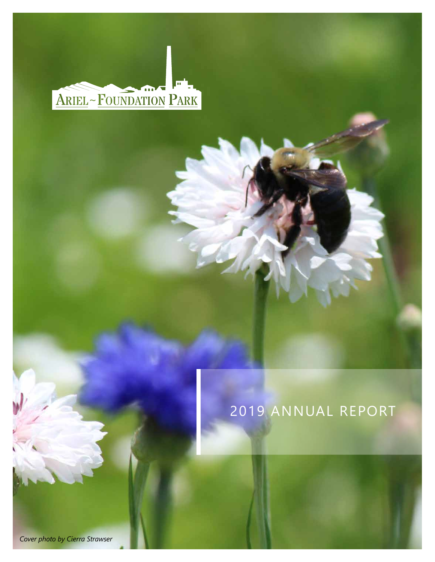

# 2019 ANNUAL REPORT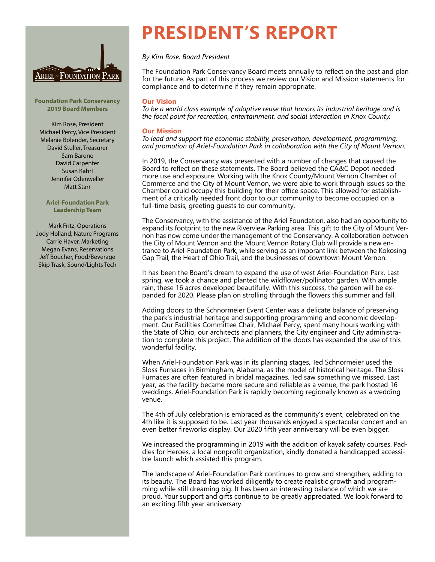

**Foundation Park Conservancy 2019 Board Members**

Kim Rose, President Michael Percy, Vice President Melanie Bolender, Secretary David Stuller, Treasurer Sam Barone David Carpenter Susan Kahrl Jennifer Odenweller Matt Starr

**Ariel-Foundation Park Leadership Team**

Mark Fritz, Operations Jody Holland, Nature Programs Carrie Haver, Marketing Megan Evans, Reservations Jeff Boucher, Food/Beverage Skip Trask, Sound/Lights Tech

# **PRESIDENT'S REPORT**

#### *By Kim Rose, Board President*

The Foundation Park Conservancy Board meets annually to reflect on the past and plan for the future. As part of this process we review our Vision and Mission statements for compliance and to determine if they remain appropriate.

#### **Our Vision**

*To be a world class example of adaptive reuse that honors its industrial heritage and is the focal point for recreation, entertainment, and social interaction in Knox County.* 

#### **Our Mission**

*To lead and support the economic stability, preservation, development, programming, and promotion of Ariel-Foundation Park in collaboration with the City of Mount Vernon.*

In 2019, the Conservancy was presented with a number of changes that caused the Board to reflect on these statements. The Board believed the CA&C Depot needed more use and exposure. Working with the Knox County/Mount Vernon Chamber of Commerce and the City of Mount Vernon, we were able to work through issues so the Chamber could occupy this building for their office space. This allowed for establishment of a critically needed front door to our community to become occupied on a full-time basis, greeting guests to our community.

The Conservancy, with the assistance of the Ariel Foundation, also had an opportunity to expand its footprint to the new Riverview Parking area. This gift to the City of Mount Vernon has now come under the management of the Conservancy. A collaboration between the City of Mount Vernon and the Mount Vernon Rotary Club will provide a new entrance to Ariel-Foundation Park, while serving as an imporant link between the Kokosing Gap Trail, the Heart of Ohio Trail, and the businesses of downtown Mount Vernon.

It has been the Board's dream to expand the use of west Ariel-Foundation Park. Last spring, we took a chance and planted the wildflower/pollinator garden. With ample rain, these 16 acres developed beautifully. With this success, the garden will be expanded for 2020. Please plan on strolling through the flowers this summer and fall.

Adding doors to the Schnormeier Event Center was a delicate balance of preserving the park's industrial heritage and supporting programming and economic development. Our Facilities Committee Chair, Michael Percy, spent many hours working with the State of Ohio, our architects and planners, the City engineer and City administration to complete this project. The addition of the doors has expanded the use of this wonderful facility.

When Ariel-Foundation Park was in its planning stages, Ted Schnormeier used the Sloss Furnaces in Birmingham, Alabama, as the model of historical heritage. The Sloss Furnaces are often featured in bridal magazines. Ted saw something we missed. Last year, as the facility became more secure and reliable as a venue, the park hosted 16 weddings. Ariel-Foundation Park is rapidly becoming regionally known as a wedding venue.

The 4th of July celebration is embraced as the community's event, celebrated on the 4th like it is supposed to be. Last year thousands enjoyed a spectacular concert and an even better fireworks display. Our 2020 fifth year anniversary will be even bigger.

We increased the programming in 2019 with the addition of kayak safety courses. Paddles for Heroes, a local nonprofit organization, kindly donated a handicapped accessible launch which assisted this program.

The landscape of Ariel-Foundation Park continues to grow and strengthen, adding to its beauty. The Board has worked diligently to create realistic growth and programming while still dreaming big. It has been an interesting balance of which we are proud. Your support and gifts continue to be greatly appreciated. We look forward to an exciting fifth year anniversary.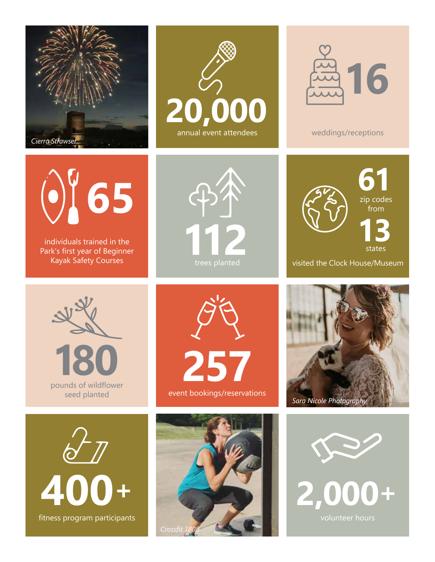



**16**

weddings/receptions

**65**

individuals trained in the Park's first year of Beginner Kayak Safety Courses





zip codes from **61 13**

states

visited the Clock House/Museum













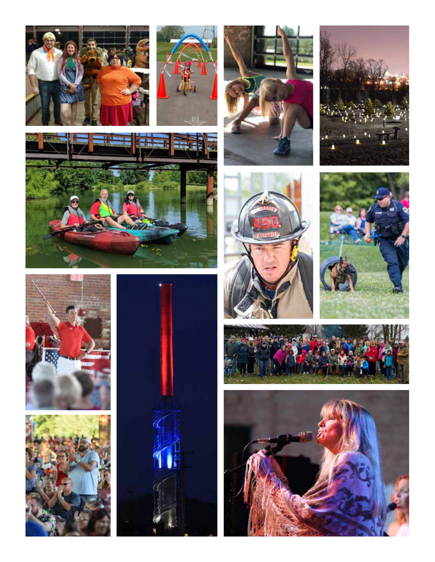





















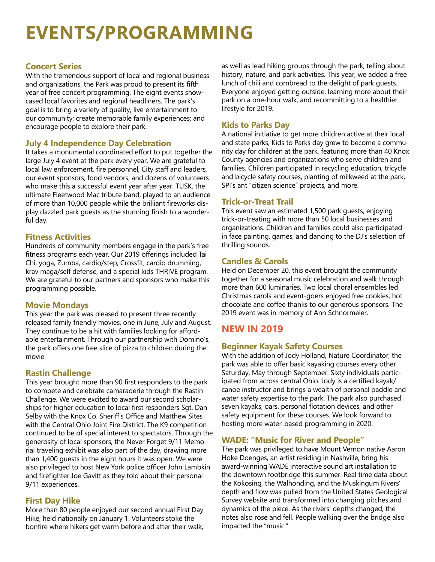# **EVENTS/PROGRAMMING**

# **Concert Series**

With the tremendous support of local and regional business and organizations, the Park was proud to present its fifth year of free concert programming. The eight events showcased local favorites and regional headliners. The park's goal is to bring a variety of quality, live entertainment to our community; create memorable family experiences; and encourage people to explore their park.

# **July 4 Independence Day Celebration**

It takes a monumental coordinated effort to put together the large July 4 event at the park every year. We are grateful to local law enforcement, fire personnel, City staff and leaders, our event sponsors, food vendors, and dozens of volunteers who make this a successful event year after year. TUSK, the ultimate Fleetwood Mac tribute band, played to an audience of more than 10,000 people while the brilliant fireworks display dazzled park guests as the stunning finish to a wonderful day.

## **Fitness Activities**

Hundreds of community members engage in the park's free fitness programs each year. Our 2019 offerings included Tai Chi, yoga, Zumba, cardio/step, Crossfit, cardio drumming, krav maga/self defense, and a special kids THRIVE program. We are grateful to our partners and sponsors who make this programming possible.

## **Movie Mondays**

This year the park was pleased to present three recently released family friendly movies, one in June, July and August. They continue to be a hit with families looking for affordable entertainment. Through our partnership with Domino's, the park offers one free slice of pizza to children during the movie.

## **Rastin Challenge**

This year brought more than 90 first responders to the park to compete and celebrate camaraderie through the Rastin Challenge. We were excited to award our second scholarships for higher education to local first responders Sgt. Dan Selby with the Knox Co. Sheriff's Office and Matthew Sites with the Central Ohio Joint Fire District. The K9 competition continued to be of special interest to spectators. Through the generosity of local sponsors, the Never Forget 9/11 Memorial traveling exhibit was also part of the day, drawing more than 1,400 guests in the eight hours it was open. We were also privileged to host New York police officer John Lambkin and firefighter Joe Gavitt as they told about their personal 9/11 experiences.

## **First Day Hike**

More than 80 people enjoyed our second annual First Day Hike, held nationally on January 1. Volunteers stoke the bonfire where hikers get warm before and after their walk, as well as lead hiking groups through the park, telling about history, nature, and park activities. This year, we added a free lunch of chili and cornbread to the delight of park guests. Everyone enjoyed getting outside, learning more about their park on a one-hour walk, and recommitting to a healthier lifestyle for 2019.

# **Kids to Parks Day**

A national initiative to get more children active at their local and state parks, Kids to Parks day grew to become a community day for children at the park, featuring more than 40 Knox County agencies and organizations who serve children and families. Children participated in recycling education, tricycle and bicycle safety courses, planting of milkweed at the park, SPI's ant "citizen science" projects, and more.

## **Trick-or-Treat Trail**

This event saw an estimated 1,500 park guests, enjoying trick-or-treating with more than 50 local businesses and organizations. Children and families could also participated in face painting, games, and dancing to the DJ's selection of thrilling sounds.

## **Candles & Carols**

Held on December 20, this event brought the community together for a seasonal music celebration and walk through more than 600 luminaries. Two local choral ensembles led Christmas carols and event-goers enjoyed free cookies, hot chocolate and coffee thanks to our generous sponsors. The 2019 event was in memory of Ann Schnormeier.

# **NEW IN 2019**

## **Beginner Kayak Safety Courses**

With the addition of Jody Holland, Nature Coordinator, the park was able to offer basic kayaking courses every other Saturday, May through September. Sixty individuals participated from across central Ohio. Jody is a certified kayak/ canoe instructor and brings a wealth of personal paddle and water safety expertise to the park. The park also purchased seven kayaks, oars, personal flotation devices, and other safety equipment for these courses. We look forward to hosting more water-based programming in 2020.

## **WADE: "Music for River and People"**

The park was privileged to have Mount Vernon native Aaron Hoke Doenges, an artist residing in Nashville, bring his award-winning WADE interactive sound art installation to the downtown footbridge this summer. Real time data about the Kokosing, the Walhonding, and the Muskingum Rivers' depth and flow was pulled from the United States Geological Survey website and transformed into changing pitches and dynamics of the piece. As the rivers' depths changed, the notes also rose and fell. People walking over the bridge also impacted the "music."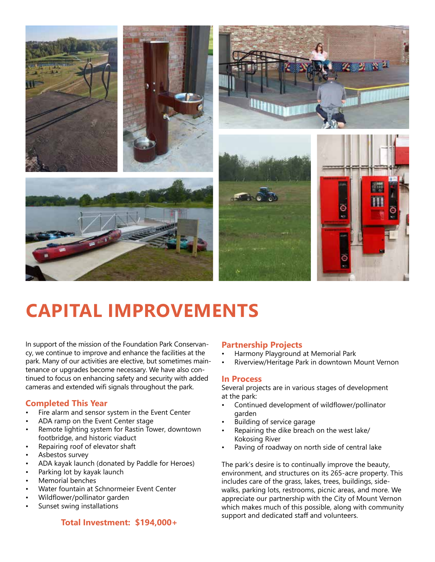

# **CAPITAL IMPROVEMENTS**

In support of the mission of the Foundation Park Conservancy, we continue to improve and enhance the facilities at the park. Many of our activities are elective, but sometimes maintenance or upgrades become necessary. We have also continued to focus on enhancing safety and security with added cameras and extended wifi signals throughout the park.

### **Completed This Year**

- Fire alarm and sensor system in the Event Center
- ADA ramp on the Event Center stage
- Remote lighting system for Rastin Tower, downtown footbridge, and historic viaduct
- Repairing roof of elevator shaft
- Asbestos survey
- ADA kayak launch (donated by Paddle for Heroes)
- Parking lot by kayak launch
- Memorial benches
- Water fountain at Schnormeier Event Center
- Wildflower/pollinator garden
- Sunset swing installations

### **Partnership Projects**

- Harmony Playground at Memorial Park
- Riverview/Heritage Park in downtown Mount Vernon

#### **In Process**

Several projects are in various stages of development at the park:

- Continued development of wildflower/pollinator garden
- Building of service garage
- Repairing the dike breach on the west lake/ Kokosing River
- Paving of roadway on north side of central lake

The park's desire is to continually improve the beauty, environment, and structures on its 265-acre property. This includes care of the grass, lakes, trees, buildings, sidewalks, parking lots, restrooms, picnic areas, and more. We appreciate our partnership with the City of Mount Vernon which makes much of this possible, along with community support and dedicated staff and volunteers.

**Total Investment: \$194,000+**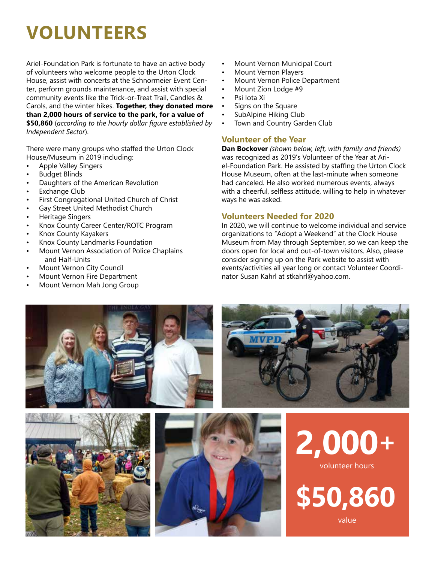# **VOLUNTEERS**

Ariel-Foundation Park is fortunate to have an active body of volunteers who welcome people to the Urton Clock House, assist with concerts at the Schnormeier Event Center, perform grounds maintenance, and assist with special community events like the Trick-or-Treat Trail, Candles & Carols, and the winter hikes. **Together, they donated more than 2,000 hours of service to the park, for a value of \$50,860** (*according to the hourly dollar figure established by Independent Sector*).

There were many groups who staffed the Urton Clock House/Museum in 2019 including:

- Apple Valley Singers
- Budget Blinds
- Daughters of the American Revolution
- **Exchange Club**
- First Congregational United Church of Christ
- Gay Street United Methodist Church
- Heritage Singers
- Knox County Career Center/ROTC Program
- Knox County Kayakers
- Knox County Landmarks Foundation
- Mount Vernon Association of Police Chaplains and Half-Units
- Mount Vernon City Council
- Mount Vernon Fire Department
- Mount Vernon Mah Jong Group
- Mount Vernon Municipal Court
- Mount Vernon Players
- Mount Vernon Police Department
- Mount Zion Lodge #9
- Psi Iota Xi
- Signs on the Square
- SubAlpine Hiking Club
- Town and Country Garden Club

## **Volunteer of the Year**

**Dan Bockover** *(shown below, left, with family and friends)* was recognized as 2019's Volunteer of the Year at Ariel-Foundation Park. He assisted by staffing the Urton Clock House Museum, often at the last-minute when someone had canceled. He also worked numerous events, always with a cheerful, selfless attitude, willing to help in whatever ways he was asked.

## **Volunteers Needed for 2020**

In 2020, we will continue to welcome individual and service organizations to "Adopt a Weekend" at the Clock House Museum from May through September, so we can keep the doors open for local and out-of-town visitors. Also, please consider signing up on the Park website to assist with events/activities all year long or contact Volunteer Coordinator Susan Kahrl at stkahrl@yahoo.com.

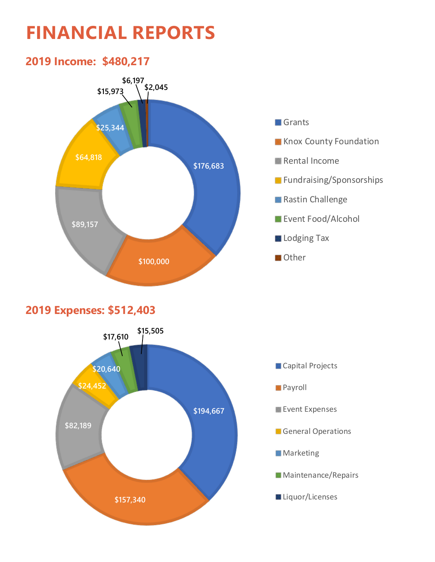# **FINANCIAL REPORTS**

# **2019 Income: \$480,217**



Grants Grants Knox County Foundation Knox County Foundation Rental Income Rental Income Fundraising/Sponsorships Fundraising/Sponsorships Rastin Challenge Rastin Challenge Event Food/Alcohol Event Food/Alcohol Lodging Tax Lodging Tax

Other Other

# **2019 Expenses: \$512,403**



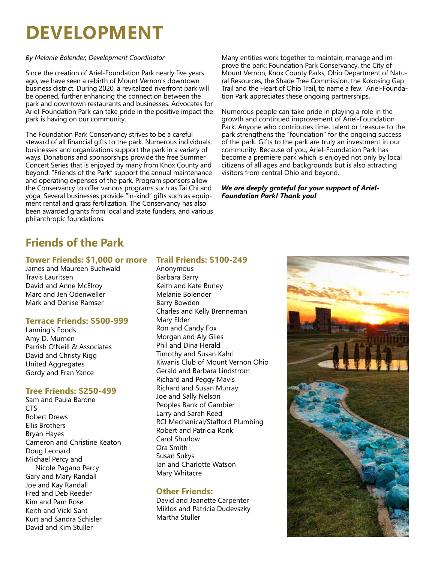# **DEVELOPMENT**

*By Melanie Bolender, Development Coordinator*

Since the creation of Ariel-Foundation Park nearly five years ago, we have seen a rebirth of Mount Vernon's downtown business district. During 2020, a revitalized riverfront park will be opened, further enhancing the connection between the park and downtown restaurants and businesses. Advocates for Ariel-Foundation Park can take pride in the positive impact the park is having on our community.

The Foundation Park Conservancy strives to be a careful steward of all financial gifts to the park. Numerous individuals, businesses and organizations support the park in a variety of ways. Donations and sponsorships provide the free Summer Concert Series that is enjoyed by many from Knox County and beyond. "Friends of the Park" support the annual maintenance and operating expenses of the park. Program sponsors allow the Conservancy to offer various programs such as Tai Chi and yoga. Several businesses provide "in-kind" gifts such as equipment rental and grass fertilization. The Conservancy has also been awarded grants from local and state funders, and various philanthropic foundations.

Many entities work together to maintain, manage and improve the park: Foundation Park Conservancy, the City of Mount Vernon, Knox County Parks, Ohio Department of Natural Resources, the Shade Tree Commission, the Kokosing Gap Trail and the Heart of Ohio Trail, to name a few. Ariel-Foundation Park appreciates these ongoing partnerships.

Numerous people can take pride in playing a role in the growth and continued improvement of Ariel-Foundation Park. Anyone who contributes time, talent or treasure to the park strengthens the "foundation" for the ongoing success of the park. Gifts to the park are truly an investment in our community. Because of you, Ariel-Foundation Park has become a premiere park which is enjoyed not only by local citizens of all ages and backgrounds but is also attracting visitors from central Ohio and beyond.

#### *We are deeply grateful for your support of Ariel-Foundation Park! Thank you!*

# **Friends of the Park**

## **Tower Friends: \$1,000 or more**

James and Maureen Buchwald Travis Lauritsen David and Anne McElroy Marc and Jen Odenweller Mark and Denise Ramser

## **Terrace Friends: \$500-999**

Lanning's Foods Amy D. Murnen Parrish O'Neill & Associates David and Christy Rigg United Aggregates Gordy and Fran Yance

### **Tree Friends: \$250-499**

Sam and Paula Barone CTS Robert Drews Ellis Brothers Bryan Hayes Cameron and Christine Keaton Doug Leonard Michael Percy and Nicole Pagano Percy Gary and Mary Randall Joe and Kay Randall Fred and Deb Reeder Kim and Pam Rose Keith and Vicki Sant Kurt and Sandra Schisler David and Kim Stuller

# **Trail Friends: \$100-249**

Anonymous Barbara Barry Keith and Kate Burley Melanie Bolender Barry Bowden Charles and Kelly Brenneman Mary Elder Ron and Candy Fox Morgan and Aly Giles Phil and Dina Herald Timothy and Susan Kahrl Kiwanis Club of Mount Vernon Ohio Gerald and Barbara Lindstrom Richard and Peggy Mavis Richard and Susan Murray Joe and Sally Nelson Peoples Bank of Gambier Larry and Sarah Reed RCI Mechanical/Stafford Plumbing Robert and Patricia Ronk Carol Shurlow Ora Smith Susan Sukys Ian and Charlotte Watson Mary Whitacre

## **Other Friends:**

David and Jeanette Carpenter Miklos and Patricia Dudevszky Martha Stuller

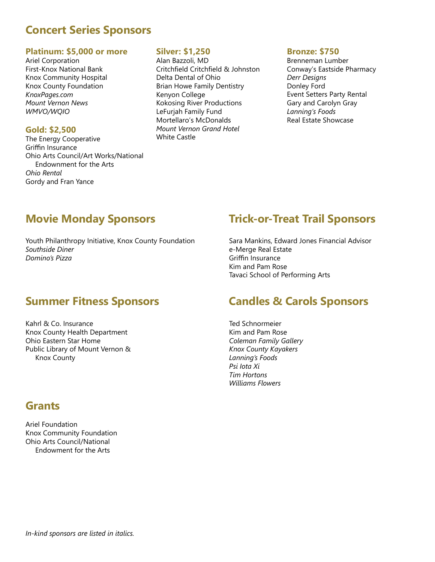# **Concert Series Sponsors**

### **Platinum: \$5,000 or more**

Ariel Corporation First-Knox National Bank Knox Community Hospital Knox County Foundation *KnoxPages.com Mount Vernon News WMVO/WQIO*

### **Gold: \$2,500**

The Energy Cooperative Griffin Insurance Ohio Arts Council/Art Works/National Endownment for the Arts *Ohio Rental* Gordy and Fran Yance

#### **Silver: \$1,250**

Alan Bazzoli, MD Critchfield Critchfield & Johnston Delta Dental of Ohio Brian Howe Family Dentistry Kenyon College Kokosing River Productions LeFurjah Family Fund Mortellaro's McDonalds *Mount Vernon Grand Hotel* White Castle

### **Bronze: \$750**

Brenneman Lumber Conway's Eastside Pharmacy *Derr Designs* Donley Ford Event Setters Party Rental Gary and Carolyn Gray *Lanning's Foods* Real Estate Showcase

# **Movie Monday Sponsors**

Youth Philanthropy Initiative, Knox County Foundation *Southside Diner Domino's Pizza*

# **Trick-or-Treat Trail Sponsors**

Sara Mankins, Edward Jones Financial Advisor e-Merge Real Estate Griffin Insurance Kim and Pam Rose Tavaci School of Performing Arts

# **Summer Fitness Sponsors**

Kahrl & Co. Insurance Knox County Health Department Ohio Eastern Star Home Public Library of Mount Vernon & Knox County

# **Grants**

Ariel Foundation Knox Community Foundation Ohio Arts Council/National Endowment for the Arts

# **Candles & Carols Sponsors**

Ted Schnormeier Kim and Pam Rose *Coleman Family Gallery Knox County Kayakers Lanning's Foods Psi Iota Xi Tim Hortons Williams Flowers*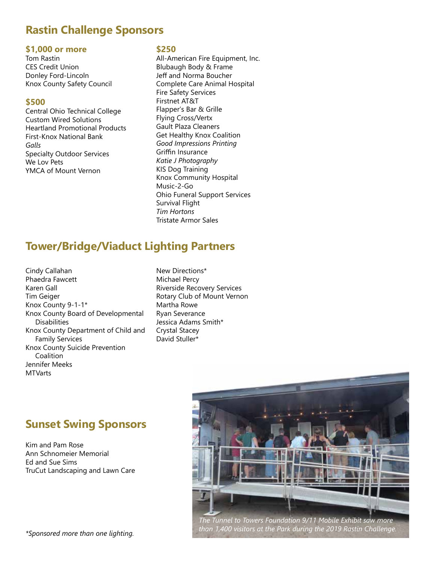# **Rastin Challenge Sponsors**

### **\$1,000 or more**

Tom Rastin CES Credit Union Donley Ford-Lincoln Knox County Safety Council

### **\$500**

Central Ohio Technical College Custom Wired Solutions Heartland Promotional Products First-Knox National Bank *Galls* Specialty Outdoor Services We Lov Pets YMCA of Mount Vernon

#### **\$250**

All-American Fire Equipment, Inc. Blubaugh Body & Frame Jeff and Norma Boucher Complete Care Animal Hospital Fire Safety Services Firstnet AT&T Flapper's Bar & Grille Flying Cross/Vertx Gault Plaza Cleaners Get Healthy Knox Coalition *Good Impressions Printing* Griffin Insurance *Katie J Photography* KIS Dog Training Knox Community Hospital Music-2-Go Ohio Funeral Support Services Survival Flight *Tim Hortons* Tristate Armor Sales

# **Tower/Bridge/Viaduct Lighting Partners**

- Cindy Callahan Phaedra Fawcett Karen Gall Tim Geiger Knox County 9-1-1\* Knox County Board of Developmental **Disabilities** Knox County Department of Child and Family Services Knox County Suicide Prevention **Coalition** Jennifer Meeks **MTVarts**
- New Directions\* Michael Percy Riverside Recovery Services Rotary Club of Mount Vernon Martha Rowe Ryan Severance Jessica Adams Smith\* Crystal Stacey David Stuller\*

# **Sunset Swing Sponsors**

Kim and Pam Rose Ann Schnomeier Memorial Ed and Sue Sims TruCut Landscaping and Lawn Care



*The Tunnel to Towers Foundation 9/11 Mobile Exhibit saw more than 1,400 visitors at the Park during the 2019 Rastin Challenge.*